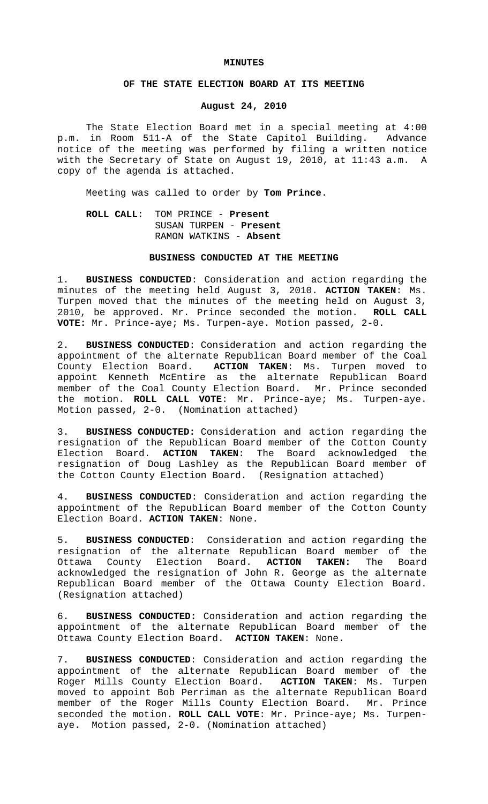#### **MINUTES**

## **OF THE STATE ELECTION BOARD AT ITS MEETING**

## **August 24, 2010**

The State Election Board met in a special meeting at 4:00 p.m. in Room 511-A of the State Capitol Building. Advance notice of the meeting was performed by filing a written notice with the Secretary of State on August 19, 2010, at 11:43 a.m. A copy of the agenda is attached.

Meeting was called to order by **Tom Prince**.

# **ROLL CALL**: TOM PRINCE - **Present** SUSAN TURPEN - **Present** RAMON WATKINS - **Absent**

#### **BUSINESS CONDUCTED AT THE MEETING**

1. **BUSINESS CONDUCTED**: Consideration and action regarding the minutes of the meeting held August 3, 2010. **ACTION TAKEN**: Ms. Turpen moved that the minutes of the meeting held on August 3, 2010, be approved. Mr. Prince seconded the motion. **ROLL CALL VOTE:** Mr. Prince-aye; Ms. Turpen-aye. Motion passed, 2-0.

2. **BUSINESS CONDUCTED**: Consideration and action regarding the appointment of the alternate Republican Board member of the Coal County Election Board. **ACTION TAKEN**: Ms. Turpen moved to appoint Kenneth McEntire as the alternate Republican Board member of the Coal County Election Board. Mr. Prince seconded the motion. **ROLL CALL VOTE**: Mr. Prince-aye; Ms. Turpen-aye. Motion passed, 2-0. (Nomination attached)

3. **BUSINESS CONDUCTED:** Consideration and action regarding the resignation of the Republican Board member of the Cotton County Election Board. **ACTION TAKEN**: The Board acknowledged the resignation of Doug Lashley as the Republican Board member of the Cotton County Election Board. (Resignation attached)

4. **BUSINESS CONDUCTED**: Consideration and action regarding the appointment of the Republican Board member of the Cotton County Election Board. **ACTION TAKEN**: None.

5. **BUSINESS CONDUCTED**: Consideration and action regarding the resignation of the alternate Republican Board member of the Ottawa County Election Board. **ACTION TAKEN:** The Board acknowledged the resignation of John R. George as the alternate Republican Board member of the Ottawa County Election Board. (Resignation attached)

6. **BUSINESS CONDUCTED:** Consideration and action regarding the appointment of the alternate Republican Board member of the Ottawa County Election Board. **ACTION TAKEN**: None.

7. **BUSINESS CONDUCTED**: Consideration and action regarding the appointment of the alternate Republican Board member of the Roger Mills County Election Board. **ACTION TAKEN**: Ms. Turpen moved to appoint Bob Perriman as the alternate Republican Board member of the Roger Mills County Election Board. Mr. Prince seconded the motion. **ROLL CALL VOTE**: Mr. Prince-aye; Ms. Turpenaye. Motion passed, 2-0. (Nomination attached)